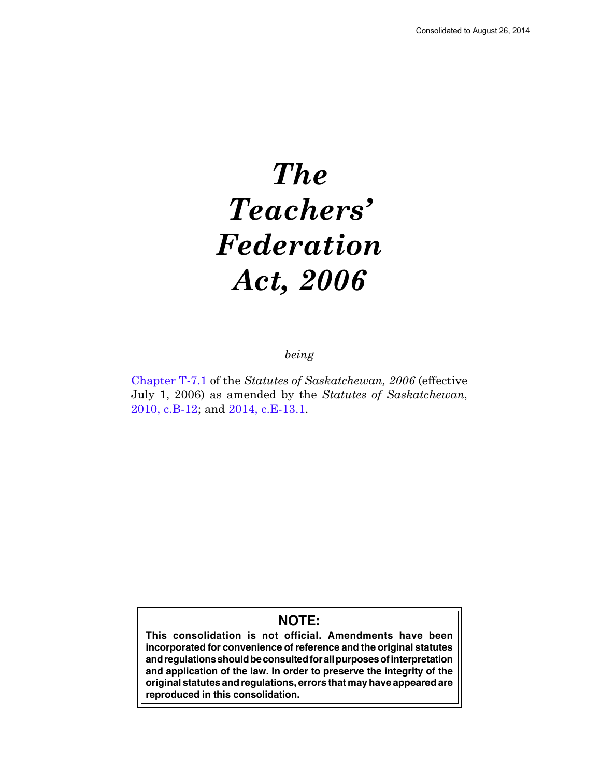# The Teachers' Federation Act, 2006

being

[Chapter T-7.1](http://www.qp.gov.sk.ca/documents/english/Chapters/2006/T7-1.pdf) of the Statutes of Saskatchewan, 2006 (effective July 1, 2006) as amended by the Statutes of Saskatchewan, [2010, c.B-12;](http://www.qp.gov.sk.ca/documents/english/Chapters/2010/B12.pdf) and [2014, c.E-13.1.](http://www.qp.gov.sk.ca/documents/english/Chapters/2014/E13-1.pdf)

# **NOTE:**

**This consolidation is not official. Amendments have been incorporated for convenience of reference and the original statutes and regulations should be consulted for all purposes of interpretation and application of the law. In order to preserve the integrity of the original statutes and regulations, errors that may have appeared are reproduced in this consolidation.**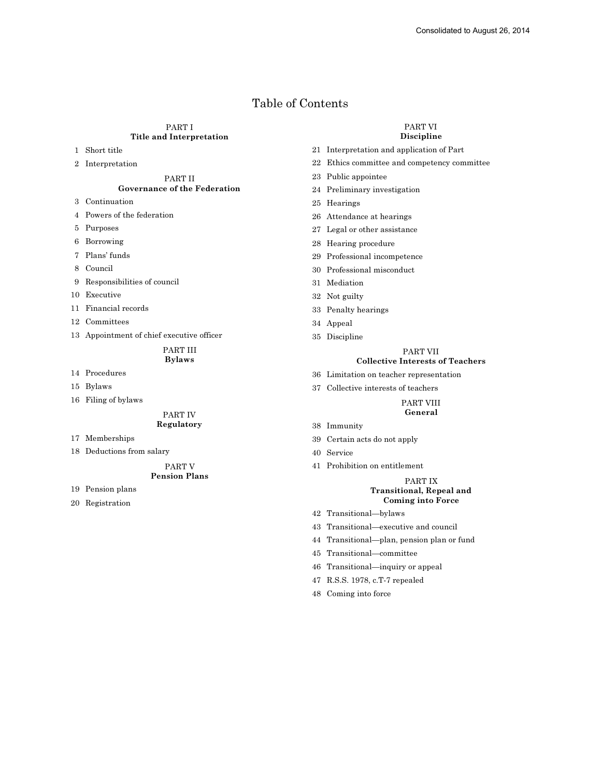# Table of Contents

# PART I Title and Interpretation

- 1 Short title
- 2 Interpretation

# PART II Governance of the Federation

- 3 Continuation
- 4 Powers of the federation
- 5 Purposes
- 6 Borrowing
- 7 Plans' funds
- 8 Council
- 9 Responsibilities of council
- 10 Executive
- 11 Financial records
- 12 Committees
- 13 Appointment of chief executive officer

# PART III Bylaws

- 14 Procedures
- 15 Bylaws
- 16 Filing of bylaws

#### PART IV

# Regulatory

- 17 Memberships
- 18 Deductions from salary

#### PART V Pension Plans

- 19 Pension plans
- 20 Registration

#### PART VI Discipline

- 21 Interpretation and application of Part
- 22 Ethics committee and competency committee
- 23 Public appointee
- 24 Preliminary investigation
- 25 Hearings
- 26 Attendance at hearings
- 27 Legal or other assistance
- 28 Hearing procedure
- 29 Professional incompetence
- 30 Professional misconduct
- 31 Mediation
- 32 Not guilty
- 33 Penalty hearings
- 34 Appeal
- 35 Discipline

# PART VII

# Collective Interests of Teachers

- 36 Limitation on teacher representation
- 37 Collective interests of teachers

#### PART VIII General

- 38 Immunity
- 39 Certain acts do not apply
- 40 Service
- 41 Prohibition on entitlement

# PART IX Transitional, Repeal and Coming into Force

- 42 Transitional—bylaws
- 43 Transitional—executive and council
- 44 Transitional—plan, pension plan or fund
- 45 Transitional—committee
- 46 Transitional—inquiry or appeal
- 47 R.S.S. 1978, c.T-7 repealed
- 48 Coming into force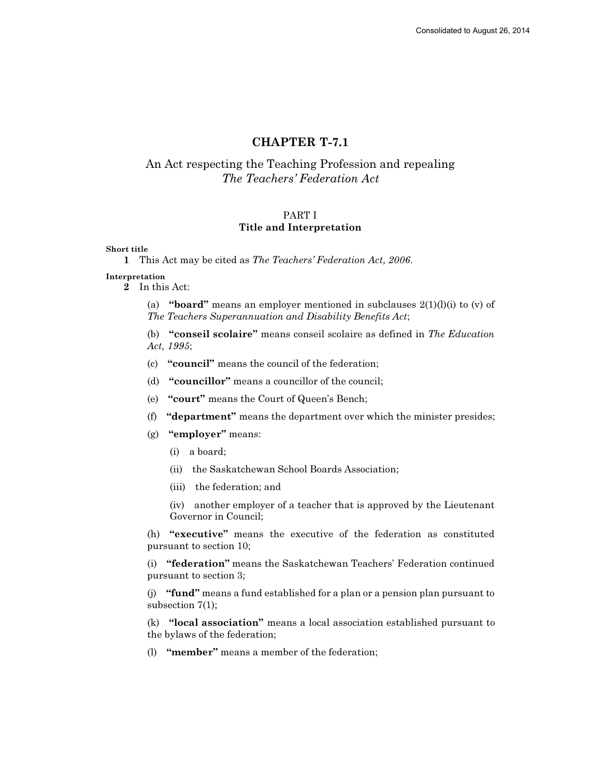# CHAPTER T-7.1

# An Act respecting the Teaching Profession and repealing The Teachers' Federation Act

# PART I Title and Interpretation

# Short title

1 This Act may be cited as The Teachers' Federation Act, 2006.

## Interpretation

2 In this Act:

(a) "**board**" means an employer mentioned in subclauses  $2(1)(l)(i)$  to (v) of The Teachers Superannuation and Disability Benefits Act;

(b) "conseil scolaire" means conseil scolaire as defined in The Education Act, 1995;

(c) "council" means the council of the federation;

(d) "councillor" means a councillor of the council;

- (e) "court" means the Court of Queen's Bench;
- (f) "department" means the department over which the minister presides;
- (g) "employer" means:
	- (i) a board;
	- (ii) the Saskatchewan School Boards Association;
	- (iii) the federation; and

(iv) another employer of a teacher that is approved by the Lieutenant Governor in Council;

(h) "executive" means the executive of the federation as constituted pursuant to section 10;

(i) "federation" means the Saskatchewan Teachers' Federation continued pursuant to section 3;

(j) "fund" means a fund established for a plan or a pension plan pursuant to subsection 7(1);

(k) "local association" means a local association established pursuant to the bylaws of the federation;

(l) "member" means a member of the federation;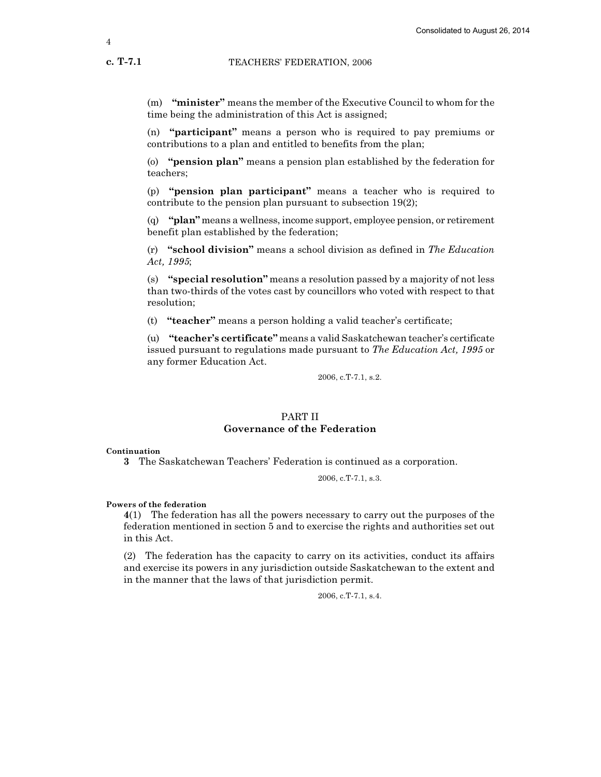(m) "minister" means the member of the Executive Council to whom for the time being the administration of this Act is assigned;

(n) "participant" means a person who is required to pay premiums or contributions to a plan and entitled to benefits from the plan;

(o) "pension plan" means a pension plan established by the federation for teachers;

(p) "pension plan participant" means a teacher who is required to contribute to the pension plan pursuant to subsection 19(2);

(q) "plan" means a wellness, income support, employee pension, or retirement benefit plan established by the federation;

 $(r)$  "school division" means a school division as defined in The Education Act, 1995;

(s) "special resolution" means a resolution passed by a majority of not less than two-thirds of the votes cast by councillors who voted with respect to that resolution;

(t) "teacher" means a person holding a valid teacher's certificate;

(u) "teacher's certificate" means a valid Saskatchewan teacher's certificate issued pursuant to regulations made pursuant to The Education Act, 1995 or any former Education Act.

2006, c.T-7.1, s.2.

# PART II Governance of the Federation

#### Continuation

3 The Saskatchewan Teachers' Federation is continued as a corporation.

2006, c.T-7.1, s.3.

## Powers of the federation

4(1) The federation has all the powers necessary to carry out the purposes of the federation mentioned in section 5 and to exercise the rights and authorities set out in this Act.

(2) The federation has the capacity to carry on its activities, conduct its affairs and exercise its powers in any jurisdiction outside Saskatchewan to the extent and in the manner that the laws of that jurisdiction permit.

2006, c.T-7.1, s.4.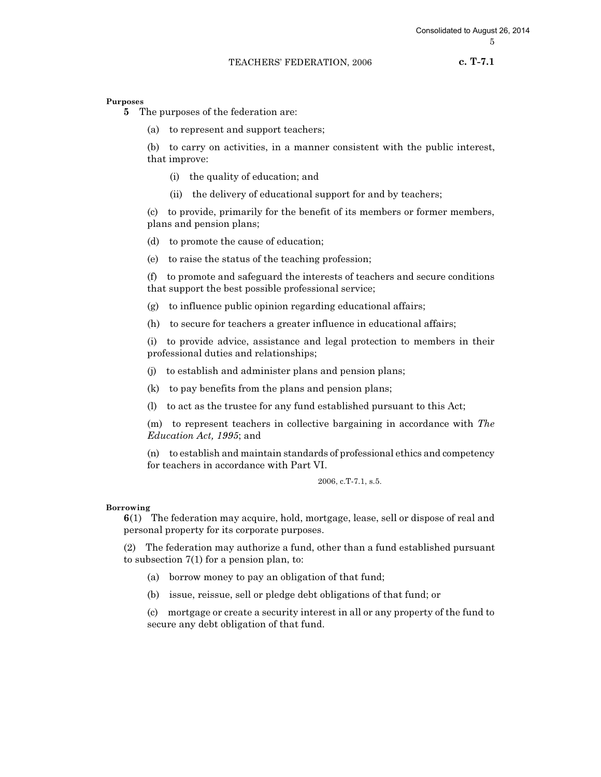c. T-7.1

Purposes

5 The purposes of the federation are:

(a) to represent and support teachers;

(b) to carry on activities, in a manner consistent with the public interest, that improve:

- (i) the quality of education; and
- (ii) the delivery of educational support for and by teachers;

(c) to provide, primarily for the benefit of its members or former members, plans and pension plans;

- (d) to promote the cause of education;
- (e) to raise the status of the teaching profession;

(f) to promote and safeguard the interests of teachers and secure conditions that support the best possible professional service;

- (g) to influence public opinion regarding educational affairs;
- (h) to secure for teachers a greater influence in educational affairs;

(i) to provide advice, assistance and legal protection to members in their professional duties and relationships;

- (j) to establish and administer plans and pension plans;
- (k) to pay benefits from the plans and pension plans;
- (l) to act as the trustee for any fund established pursuant to this Act;

(m) to represent teachers in collective bargaining in accordance with The Education Act, 1995; and

(n) to establish and maintain standards of professional ethics and competency for teachers in accordance with Part VI.

#### 2006, c.T-7.1, s.5.

#### Borrowing

6(1) The federation may acquire, hold, mortgage, lease, sell or dispose of real and personal property for its corporate purposes.

(2) The federation may authorize a fund, other than a fund established pursuant to subsection 7(1) for a pension plan, to:

- (a) borrow money to pay an obligation of that fund;
- (b) issue, reissue, sell or pledge debt obligations of that fund; or

(c) mortgage or create a security interest in all or any property of the fund to secure any debt obligation of that fund.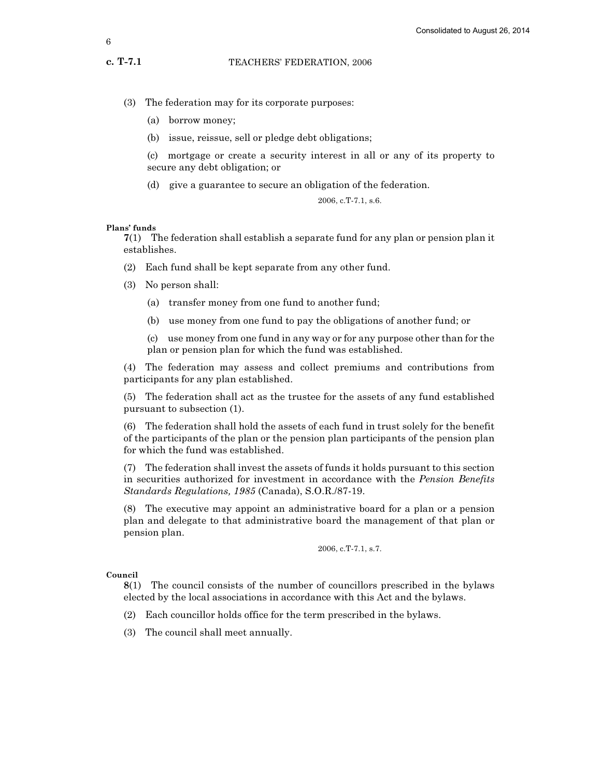- (3) The federation may for its corporate purposes:
	- (a) borrow money;
	- (b) issue, reissue, sell or pledge debt obligations;

(c) mortgage or create a security interest in all or any of its property to secure any debt obligation; or

(d) give a guarantee to secure an obligation of the federation.

2006, c.T-7.1, s.6.

## Plans' funds

7(1) The federation shall establish a separate fund for any plan or pension plan it establishes.

- (2) Each fund shall be kept separate from any other fund.
- (3) No person shall:
	- (a) transfer money from one fund to another fund;
	- (b) use money from one fund to pay the obligations of another fund; or

(c) use money from one fund in any way or for any purpose other than for the plan or pension plan for which the fund was established.

(4) The federation may assess and collect premiums and contributions from participants for any plan established.

(5) The federation shall act as the trustee for the assets of any fund established pursuant to subsection (1).

(6) The federation shall hold the assets of each fund in trust solely for the benefit of the participants of the plan or the pension plan participants of the pension plan for which the fund was established.

(7) The federation shall invest the assets of funds it holds pursuant to this section in securities authorized for investment in accordance with the Pension Benefits Standards Regulations, 1985 (Canada), S.O.R./87-19.

(8) The executive may appoint an administrative board for a plan or a pension plan and delegate to that administrative board the management of that plan or pension plan.

2006, c.T-7.1, s.7.

# Council

8(1) The council consists of the number of councillors prescribed in the bylaws elected by the local associations in accordance with this Act and the bylaws.

- (2) Each councillor holds office for the term prescribed in the bylaws.
- (3) The council shall meet annually.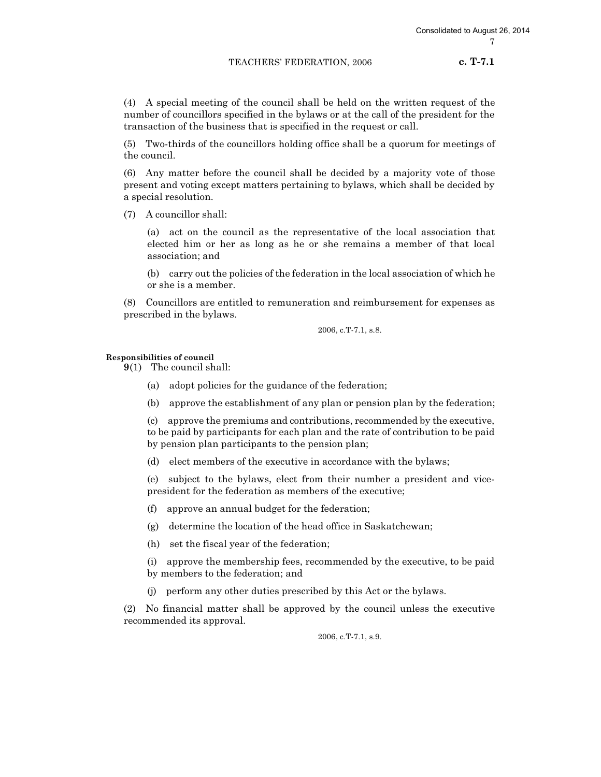c. T-7.1

(4) A special meeting of the council shall be held on the written request of the number of councillors specified in the bylaws or at the call of the president for the transaction of the business that is specified in the request or call.

(5) Two-thirds of the councillors holding office shall be a quorum for meetings of the council.

(6) Any matter before the council shall be decided by a majority vote of those present and voting except matters pertaining to bylaws, which shall be decided by a special resolution.

(7) A councillor shall:

(a) act on the council as the representative of the local association that elected him or her as long as he or she remains a member of that local association; and

(b) carry out the policies of the federation in the local association of which he or she is a member.

(8) Councillors are entitled to remuneration and reimbursement for expenses as prescribed in the bylaws.

2006, c.T-7.1, s.8.

Responsibilities of council

9(1) The council shall:

- (a) adopt policies for the guidance of the federation;
- (b) approve the establishment of any plan or pension plan by the federation;

(c) approve the premiums and contributions, recommended by the executive, to be paid by participants for each plan and the rate of contribution to be paid by pension plan participants to the pension plan;

(d) elect members of the executive in accordance with the bylaws;

(e) subject to the bylaws, elect from their number a president and vicepresident for the federation as members of the executive;

- (f) approve an annual budget for the federation;
- (g) determine the location of the head office in Saskatchewan;
- (h) set the fiscal year of the federation;

(i) approve the membership fees, recommended by the executive, to be paid by members to the federation; and

(j) perform any other duties prescribed by this Act or the bylaws.

(2) No financial matter shall be approved by the council unless the executive recommended its approval.

2006, c.T-7.1, s.9.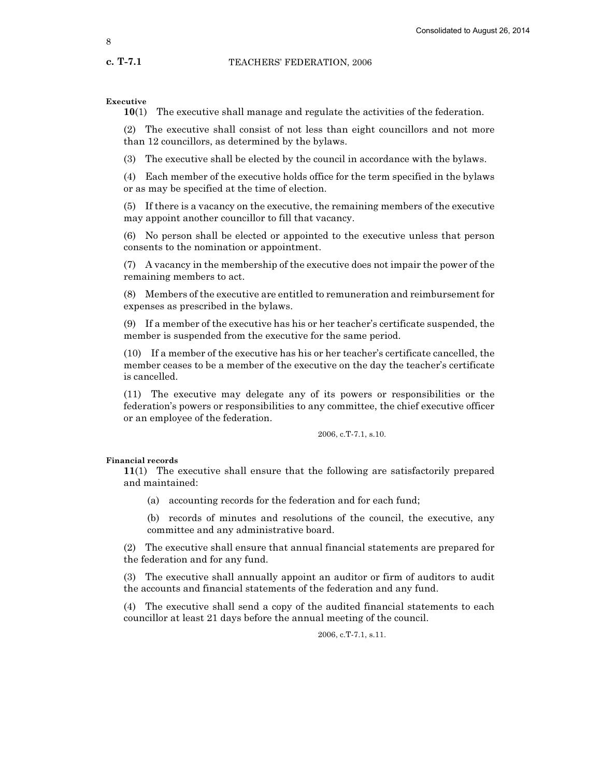Executive

10(1) The executive shall manage and regulate the activities of the federation.

(2) The executive shall consist of not less than eight councillors and not more than 12 councillors, as determined by the bylaws.

(3) The executive shall be elected by the council in accordance with the bylaws.

(4) Each member of the executive holds office for the term specified in the bylaws or as may be specified at the time of election.

(5) If there is a vacancy on the executive, the remaining members of the executive may appoint another councillor to fill that vacancy.

(6) No person shall be elected or appointed to the executive unless that person consents to the nomination or appointment.

(7) A vacancy in the membership of the executive does not impair the power of the remaining members to act.

(8) Members of the executive are entitled to remuneration and reimbursement for expenses as prescribed in the bylaws.

(9) If a member of the executive has his or her teacher's certificate suspended, the member is suspended from the executive for the same period.

(10) If a member of the executive has his or her teacher's certificate cancelled, the member ceases to be a member of the executive on the day the teacher's certificate is cancelled.

(11) The executive may delegate any of its powers or responsibilities or the federation's powers or responsibilities to any committee, the chief executive officer or an employee of the federation.

2006, c.T-7.1, s.10.

Financial records

11(1) The executive shall ensure that the following are satisfactorily prepared and maintained:

(a) accounting records for the federation and for each fund;

(b) records of minutes and resolutions of the council, the executive, any committee and any administrative board.

(2) The executive shall ensure that annual financial statements are prepared for the federation and for any fund.

(3) The executive shall annually appoint an auditor or firm of auditors to audit the accounts and financial statements of the federation and any fund.

(4) The executive shall send a copy of the audited financial statements to each councillor at least 21 days before the annual meeting of the council.

2006, c.T-7.1, s.11.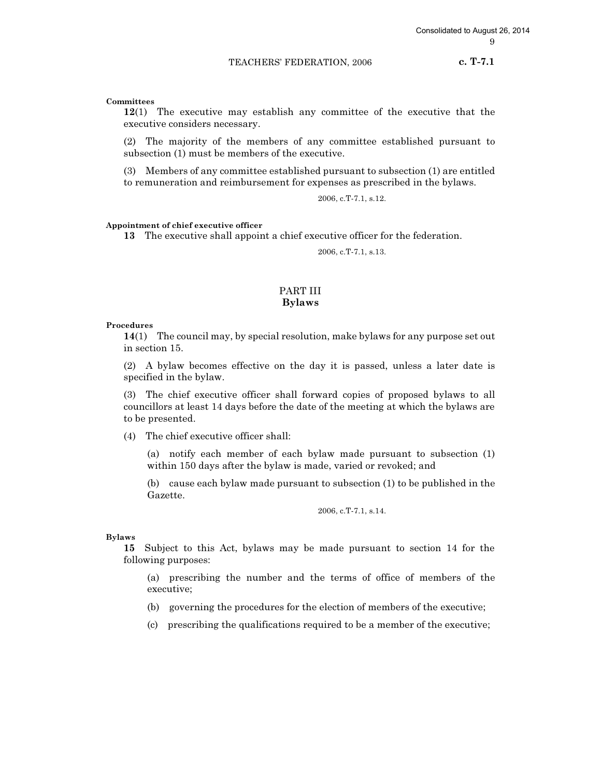c. T-7.1

# Committees

12(1) The executive may establish any committee of the executive that the executive considers necessary.

(2) The majority of the members of any committee established pursuant to subsection (1) must be members of the executive.

(3) Members of any committee established pursuant to subsection (1) are entitled to remuneration and reimbursement for expenses as prescribed in the bylaws.

2006, c.T-7.1, s.12.

# Appointment of chief executive officer

13 The executive shall appoint a chief executive officer for the federation.

2006, c.T-7.1, s.13.

# PART III Bylaws

#### Procedures

14(1) The council may, by special resolution, make bylaws for any purpose set out in section 15.

(2) A bylaw becomes effective on the day it is passed, unless a later date is specified in the bylaw.

(3) The chief executive officer shall forward copies of proposed bylaws to all councillors at least 14 days before the date of the meeting at which the bylaws are to be presented.

(4) The chief executive officer shall:

(a) notify each member of each bylaw made pursuant to subsection (1) within 150 days after the bylaw is made, varied or revoked; and

(b) cause each bylaw made pursuant to subsection (1) to be published in the Gazette.

2006, c.T-7.1, s.14.

#### Bylaws

15 Subject to this Act, bylaws may be made pursuant to section 14 for the following purposes:

(a) prescribing the number and the terms of office of members of the executive;

(b) governing the procedures for the election of members of the executive;

(c) prescribing the qualifications required to be a member of the executive;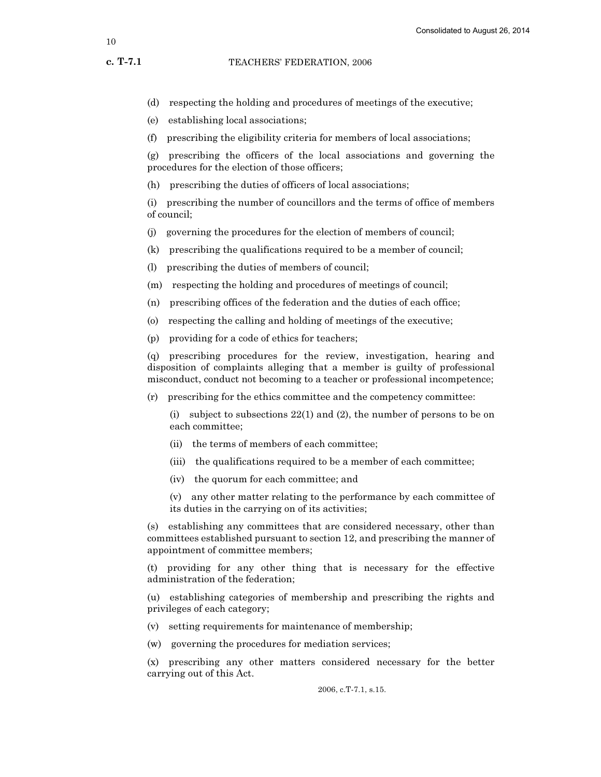c. T-7.1

(d) respecting the holding and procedures of meetings of the executive;

- (e) establishing local associations;
- (f) prescribing the eligibility criteria for members of local associations;

(g) prescribing the officers of the local associations and governing the procedures for the election of those officers;

(h) prescribing the duties of officers of local associations;

(i) prescribing the number of councillors and the terms of office of members of council;

- (j) governing the procedures for the election of members of council;
- (k) prescribing the qualifications required to be a member of council;

(l) prescribing the duties of members of council;

- (m) respecting the holding and procedures of meetings of council;
- (n) prescribing offices of the federation and the duties of each office;
- (o) respecting the calling and holding of meetings of the executive;
- (p) providing for a code of ethics for teachers;

(q) prescribing procedures for the review, investigation, hearing and disposition of complaints alleging that a member is guilty of professional misconduct, conduct not becoming to a teacher or professional incompetence;

(r) prescribing for the ethics committee and the competency committee:

(i) subject to subsections 22(1) and (2), the number of persons to be on each committee;

- (ii) the terms of members of each committee;
- (iii) the qualifications required to be a member of each committee;
- (iv) the quorum for each committee; and

(v) any other matter relating to the performance by each committee of its duties in the carrying on of its activities;

(s) establishing any committees that are considered necessary, other than committees established pursuant to section 12, and prescribing the manner of appointment of committee members;

(t) providing for any other thing that is necessary for the effective administration of the federation;

(u) establishing categories of membership and prescribing the rights and privileges of each category;

- (v) setting requirements for maintenance of membership;
- (w) governing the procedures for mediation services;

(x) prescribing any other matters considered necessary for the better carrying out of this Act.

2006, c.T-7.1, s.15.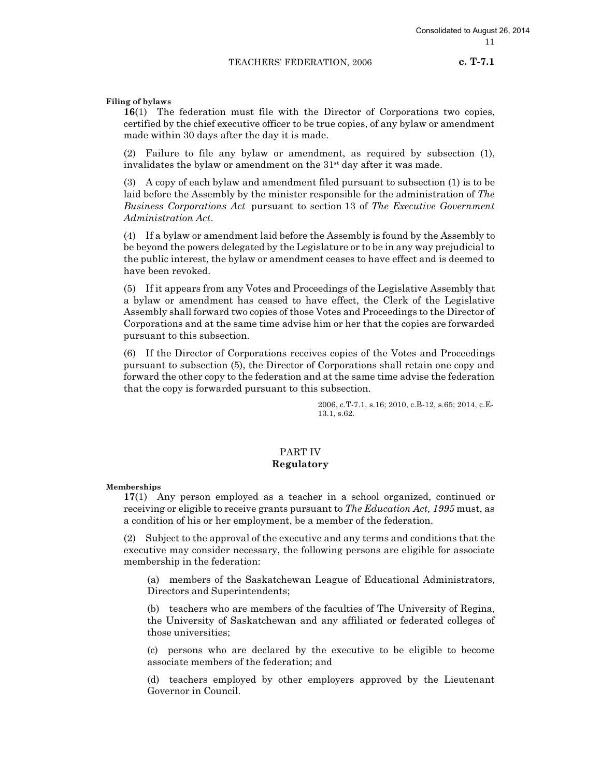Filing of bylaws

16(1) The federation must file with the Director of Corporations two copies, certified by the chief executive officer to be true copies, of any bylaw or amendment made within 30 days after the day it is made.

(2) Failure to file any bylaw or amendment, as required by subsection (1), invalidates the bylaw or amendment on the  $31<sup>st</sup>$  day after it was made.

(3) A copy of each bylaw and amendment filed pursuant to subsection (1) is to be laid before the Assembly by the minister responsible for the administration of The Business Corporations Act pursuant to section 13 of The Executive Government Administration Act.

(4) If a bylaw or amendment laid before the Assembly is found by the Assembly to be beyond the powers delegated by the Legislature or to be in any way prejudicial to the public interest, the bylaw or amendment ceases to have effect and is deemed to have been revoked.

(5) If it appears from any Votes and Proceedings of the Legislative Assembly that a bylaw or amendment has ceased to have effect, the Clerk of the Legislative Assembly shall forward two copies of those Votes and Proceedings to the Director of Corporations and at the same time advise him or her that the copies are forwarded pursuant to this subsection.

(6) If the Director of Corporations receives copies of the Votes and Proceedings pursuant to subsection (5), the Director of Corporations shall retain one copy and forward the other copy to the federation and at the same time advise the federation that the copy is forwarded pursuant to this subsection.

> 2006, c.T-7.1, s.16; 2010, c.B-12, s.65; 2014, c.E-13.1, s.62.

# PART IV Regulatory

Memberships

17(1) Any person employed as a teacher in a school organized, continued or receiving or eligible to receive grants pursuant to *The Education Act, 1995* must, as a condition of his or her employment, be a member of the federation.

(2) Subject to the approval of the executive and any terms and conditions that the executive may consider necessary, the following persons are eligible for associate membership in the federation:

(a) members of the Saskatchewan League of Educational Administrators, Directors and Superintendents;

(b) teachers who are members of the faculties of The University of Regina, the University of Saskatchewan and any affiliated or federated colleges of those universities;

(c) persons who are declared by the executive to be eligible to become associate members of the federation; and

(d) teachers employed by other employers approved by the Lieutenant Governor in Council.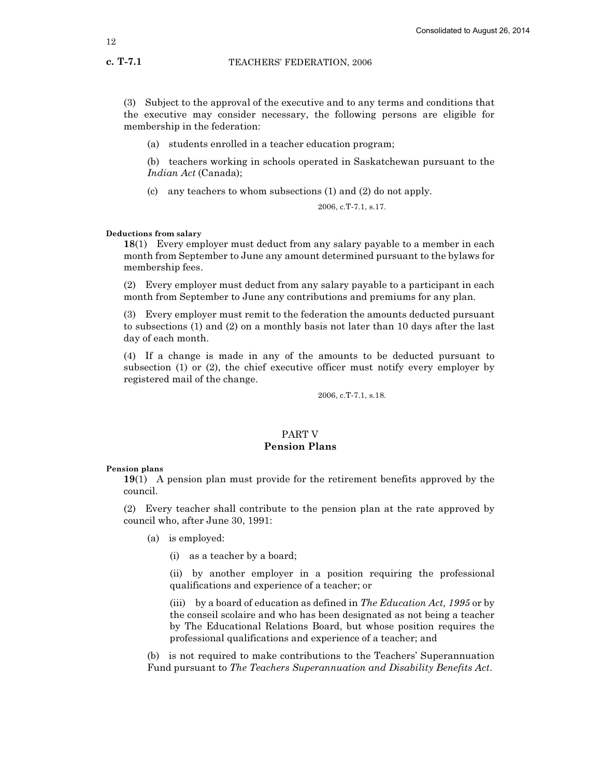(3) Subject to the approval of the executive and to any terms and conditions that the executive may consider necessary, the following persons are eligible for membership in the federation:

(a) students enrolled in a teacher education program;

(b) teachers working in schools operated in Saskatchewan pursuant to the Indian Act (Canada);

(c) any teachers to whom subsections (1) and (2) do not apply.

2006, c.T-7.1, s.17.

# Deductions from salary

18(1) Every employer must deduct from any salary payable to a member in each month from September to June any amount determined pursuant to the bylaws for membership fees.

(2) Every employer must deduct from any salary payable to a participant in each month from September to June any contributions and premiums for any plan.

(3) Every employer must remit to the federation the amounts deducted pursuant to subsections (1) and (2) on a monthly basis not later than 10 days after the last day of each month.

(4) If a change is made in any of the amounts to be deducted pursuant to subsection (1) or (2), the chief executive officer must notify every employer by registered mail of the change.

2006, c.T-7.1, s.18.

# PART V Pension Plans

#### Pension plans

19(1) A pension plan must provide for the retirement benefits approved by the council.

(2) Every teacher shall contribute to the pension plan at the rate approved by council who, after June 30, 1991:

- (a) is employed:
	- (i) as a teacher by a board;

(ii) by another employer in a position requiring the professional qualifications and experience of a teacher; or

(iii) by a board of education as defined in The Education Act,  $1995$  or by the conseil scolaire and who has been designated as not being a teacher by The Educational Relations Board, but whose position requires the professional qualifications and experience of a teacher; and

(b) is not required to make contributions to the Teachers' Superannuation Fund pursuant to The Teachers Superannuation and Disability Benefits Act.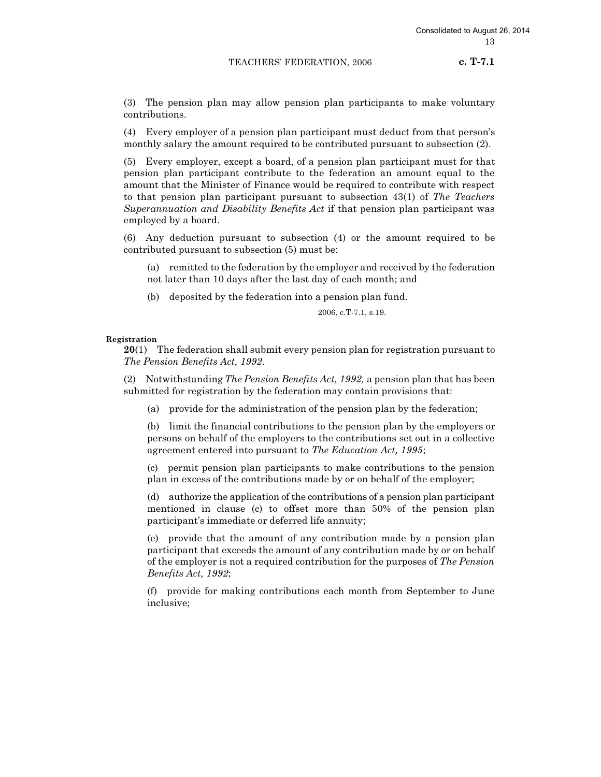(3) The pension plan may allow pension plan participants to make voluntary contributions.

(4) Every employer of a pension plan participant must deduct from that person's monthly salary the amount required to be contributed pursuant to subsection (2).

(5) Every employer, except a board, of a pension plan participant must for that pension plan participant contribute to the federation an amount equal to the amount that the Minister of Finance would be required to contribute with respect to that pension plan participant pursuant to subsection 43(1) of The Teachers Superannuation and Disability Benefits Act if that pension plan participant was employed by a board.

(6) Any deduction pursuant to subsection (4) or the amount required to be contributed pursuant to subsection (5) must be:

(a) remitted to the federation by the employer and received by the federation not later than 10 days after the last day of each month; and

(b) deposited by the federation into a pension plan fund.

2006, c.T-7.1, s.19.

Registration

 $20(1)$  The federation shall submit every pension plan for registration pursuant to The Pension Benefits Act, 1992.

(2) Notwithstanding The Pension Benefits Act, 1992, a pension plan that has been submitted for registration by the federation may contain provisions that:

(a) provide for the administration of the pension plan by the federation;

(b) limit the financial contributions to the pension plan by the employers or persons on behalf of the employers to the contributions set out in a collective agreement entered into pursuant to The Education Act, 1995;

(c) permit pension plan participants to make contributions to the pension plan in excess of the contributions made by or on behalf of the employer;

(d) authorize the application of the contributions of a pension plan participant mentioned in clause (c) to offset more than 50% of the pension plan participant's immediate or deferred life annuity;

(e) provide that the amount of any contribution made by a pension plan participant that exceeds the amount of any contribution made by or on behalf of the employer is not a required contribution for the purposes of The Pension Benefits Act, 1992;

(f) provide for making contributions each month from September to June inclusive;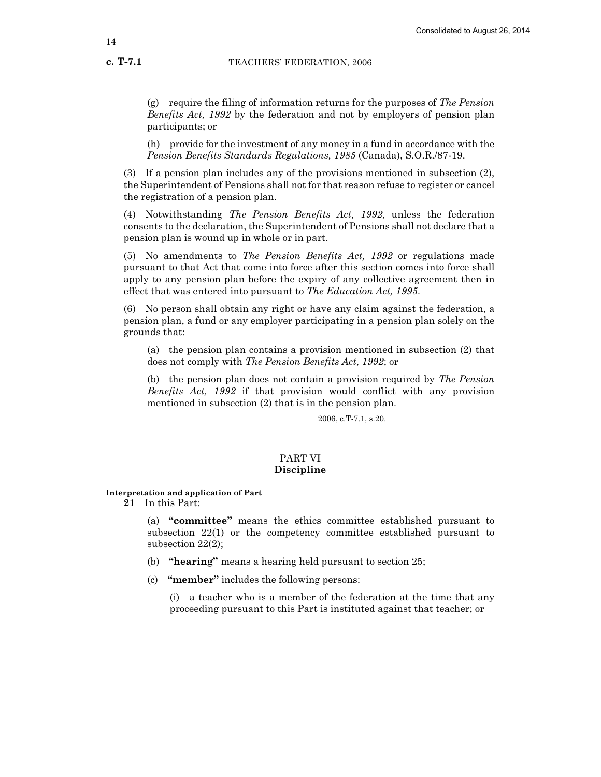(h) provide for the investment of any money in a fund in accordance with the Pension Benefits Standards Regulations, 1985 (Canada), S.O.R./87-19.

(3) If a pension plan includes any of the provisions mentioned in subsection (2), the Superintendent of Pensions shall not for that reason refuse to register or cancel the registration of a pension plan.

(4) Notwithstanding The Pension Benefits Act, 1992, unless the federation consents to the declaration, the Superintendent of Pensions shall not declare that a pension plan is wound up in whole or in part.

(5) No amendments to The Pension Benefits Act, 1992 or regulations made pursuant to that Act that come into force after this section comes into force shall apply to any pension plan before the expiry of any collective agreement then in effect that was entered into pursuant to The Education Act, 1995.

(6) No person shall obtain any right or have any claim against the federation, a pension plan, a fund or any employer participating in a pension plan solely on the grounds that:

(a) the pension plan contains a provision mentioned in subsection (2) that does not comply with The Pension Benefits Act, 1992; or

(b) the pension plan does not contain a provision required by The Pension Benefits Act, 1992 if that provision would conflict with any provision mentioned in subsection (2) that is in the pension plan.

2006, c.T-7.1, s.20.

# PART VI Discipline

# Interpretation and application of Part

21 In this Part:

(a) "committee" means the ethics committee established pursuant to subsection 22(1) or the competency committee established pursuant to subsection 22(2);

- (b) "hearing" means a hearing held pursuant to section 25;
- (c) "member" includes the following persons:

(i) a teacher who is a member of the federation at the time that any proceeding pursuant to this Part is instituted against that teacher; or

c. T-7.1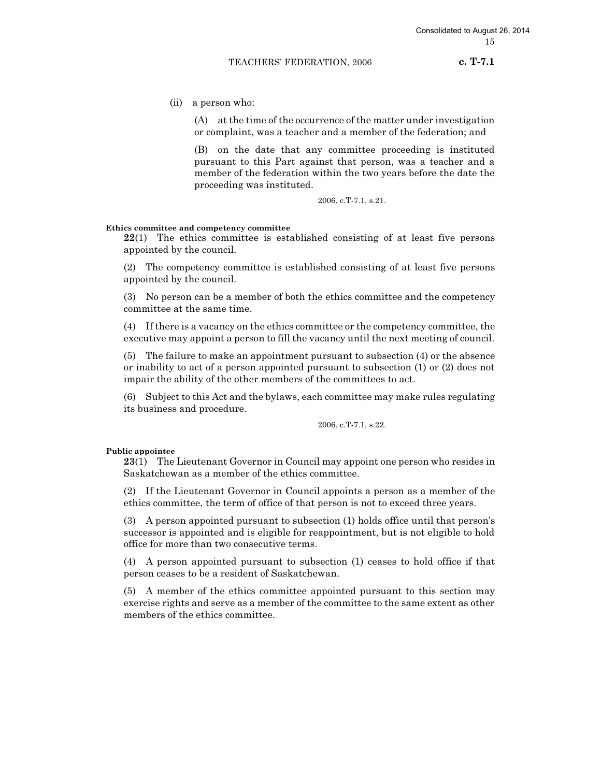c. T-7.1

(ii) a person who:

(A) at the time of the occurrence of the matter under investigation or complaint, was a teacher and a member of the federation; and

(B) on the date that any committee proceeding is instituted pursuant to this Part against that person, was a teacher and a member of the federation within the two years before the date the proceeding was instituted.

2006, c.T-7.1, s.21.

# Ethics committee and competency committee

22(1) The ethics committee is established consisting of at least five persons appointed by the council.

(2) The competency committee is established consisting of at least five persons appointed by the council.

(3) No person can be a member of both the ethics committee and the competency committee at the same time.

(4) If there is a vacancy on the ethics committee or the competency committee, the executive may appoint a person to fill the vacancy until the next meeting of council.

(5) The failure to make an appointment pursuant to subsection (4) or the absence or inability to act of a person appointed pursuant to subsection (1) or (2) does not impair the ability of the other members of the committees to act.

(6) Subject to this Act and the bylaws, each committee may make rules regulating its business and procedure.

2006, c.T-7.1, s.22.

### Public appointee

23(1) The Lieutenant Governor in Council may appoint one person who resides in Saskatchewan as a member of the ethics committee.

(2) If the Lieutenant Governor in Council appoints a person as a member of the ethics committee, the term of office of that person is not to exceed three years.

(3) A person appointed pursuant to subsection (1) holds office until that person's successor is appointed and is eligible for reappointment, but is not eligible to hold office for more than two consecutive terms.

(4) A person appointed pursuant to subsection (1) ceases to hold office if that person ceases to be a resident of Saskatchewan.

(5) A member of the ethics committee appointed pursuant to this section may exercise rights and serve as a member of the committee to the same extent as other members of the ethics committee.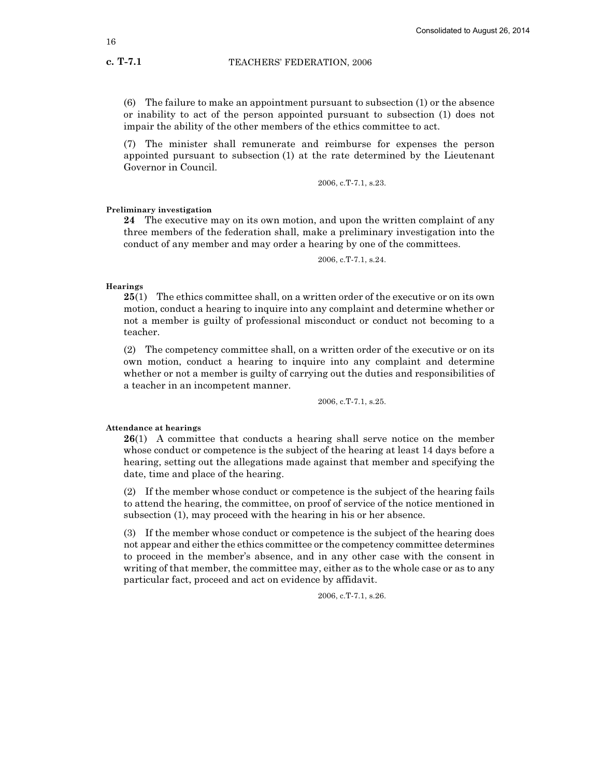(6) The failure to make an appointment pursuant to subsection (1) or the absence or inability to act of the person appointed pursuant to subsection (1) does not impair the ability of the other members of the ethics committee to act.

(7) The minister shall remunerate and reimburse for expenses the person appointed pursuant to subsection (1) at the rate determined by the Lieutenant Governor in Council.

2006, c.T-7.1, s.23.

Preliminary investigation

24 The executive may on its own motion, and upon the written complaint of any three members of the federation shall, make a preliminary investigation into the conduct of any member and may order a hearing by one of the committees.

2006, c.T-7.1, s.24.

Hearings

25(1) The ethics committee shall, on a written order of the executive or on its own motion, conduct a hearing to inquire into any complaint and determine whether or not a member is guilty of professional misconduct or conduct not becoming to a teacher.

(2) The competency committee shall, on a written order of the executive or on its own motion, conduct a hearing to inquire into any complaint and determine whether or not a member is guilty of carrying out the duties and responsibilities of a teacher in an incompetent manner.

2006, c.T-7.1, s.25.

## Attendance at hearings

26(1) A committee that conducts a hearing shall serve notice on the member whose conduct or competence is the subject of the hearing at least 14 days before a hearing, setting out the allegations made against that member and specifying the date, time and place of the hearing.

(2) If the member whose conduct or competence is the subject of the hearing fails to attend the hearing, the committee, on proof of service of the notice mentioned in subsection (1), may proceed with the hearing in his or her absence.

(3) If the member whose conduct or competence is the subject of the hearing does not appear and either the ethics committee or the competency committee determines to proceed in the member's absence, and in any other case with the consent in writing of that member, the committee may, either as to the whole case or as to any particular fact, proceed and act on evidence by affidavit.

2006, c.T-7.1, s.26.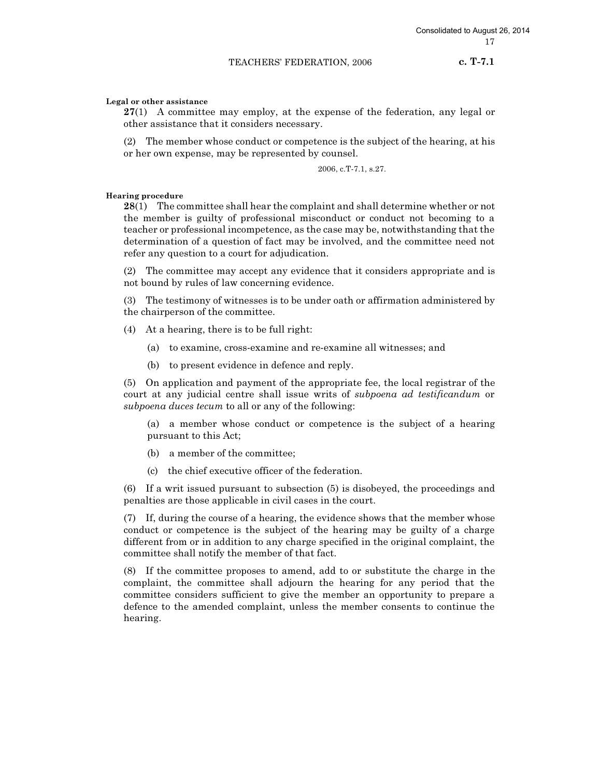c. T-7.1

# Legal or other assistance

 $27(1)$  A committee may employ, at the expense of the federation, any legal or other assistance that it considers necessary.

(2) The member whose conduct or competence is the subject of the hearing, at his or her own expense, may be represented by counsel.

2006, c.T-7.1, s.27.

# Hearing procedure

28(1) The committee shall hear the complaint and shall determine whether or not the member is guilty of professional misconduct or conduct not becoming to a teacher or professional incompetence, as the case may be, notwithstanding that the determination of a question of fact may be involved, and the committee need not refer any question to a court for adjudication.

(2) The committee may accept any evidence that it considers appropriate and is not bound by rules of law concerning evidence.

(3) The testimony of witnesses is to be under oath or affirmation administered by the chairperson of the committee.

(4) At a hearing, there is to be full right:

- (a) to examine, cross-examine and re-examine all witnesses; and
- (b) to present evidence in defence and reply.

(5) On application and payment of the appropriate fee, the local registrar of the court at any judicial centre shall issue writs of subpoena ad testificandum or subpoena duces tecum to all or any of the following:

(a) a member whose conduct or competence is the subject of a hearing pursuant to this Act;

- (b) a member of the committee;
- (c) the chief executive officer of the federation.

(6) If a writ issued pursuant to subsection (5) is disobeyed, the proceedings and penalties are those applicable in civil cases in the court.

(7) If, during the course of a hearing, the evidence shows that the member whose conduct or competence is the subject of the hearing may be guilty of a charge different from or in addition to any charge specified in the original complaint, the committee shall notify the member of that fact.

(8) If the committee proposes to amend, add to or substitute the charge in the complaint, the committee shall adjourn the hearing for any period that the committee considers sufficient to give the member an opportunity to prepare a defence to the amended complaint, unless the member consents to continue the hearing.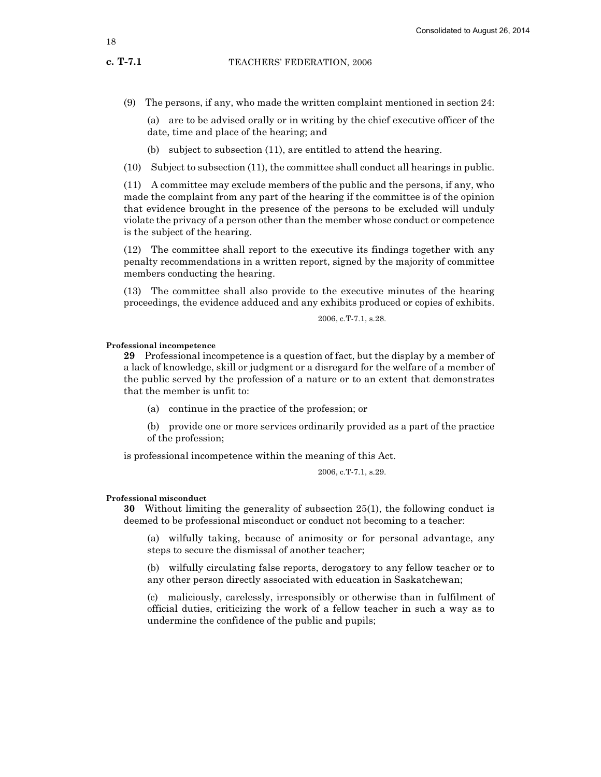c. T-7.1

(9) The persons, if any, who made the written complaint mentioned in section 24:

(a) are to be advised orally or in writing by the chief executive officer of the date, time and place of the hearing; and

- (b) subject to subsection (11), are entitled to attend the hearing.
- (10) Subject to subsection (11), the committee shall conduct all hearings in public.

(11) A committee may exclude members of the public and the persons, if any, who made the complaint from any part of the hearing if the committee is of the opinion that evidence brought in the presence of the persons to be excluded will unduly violate the privacy of a person other than the member whose conduct or competence is the subject of the hearing.

(12) The committee shall report to the executive its findings together with any penalty recommendations in a written report, signed by the majority of committee members conducting the hearing.

(13) The committee shall also provide to the executive minutes of the hearing proceedings, the evidence adduced and any exhibits produced or copies of exhibits.

2006, c.T-7.1, s.28.

# Professional incompetence

29 Professional incompetence is a question of fact, but the display by a member of a lack of knowledge, skill or judgment or a disregard for the welfare of a member of the public served by the profession of a nature or to an extent that demonstrates that the member is unfit to:

(a) continue in the practice of the profession; or

(b) provide one or more services ordinarily provided as a part of the practice of the profession;

is professional incompetence within the meaning of this Act.

2006, c.T-7.1, s.29.

#### Professional misconduct

30 Without limiting the generality of subsection 25(1), the following conduct is deemed to be professional misconduct or conduct not becoming to a teacher:

(a) wilfully taking, because of animosity or for personal advantage, any steps to secure the dismissal of another teacher;

(b) wilfully circulating false reports, derogatory to any fellow teacher or to any other person directly associated with education in Saskatchewan;

(c) maliciously, carelessly, irresponsibly or otherwise than in fulfilment of official duties, criticizing the work of a fellow teacher in such a way as to undermine the confidence of the public and pupils;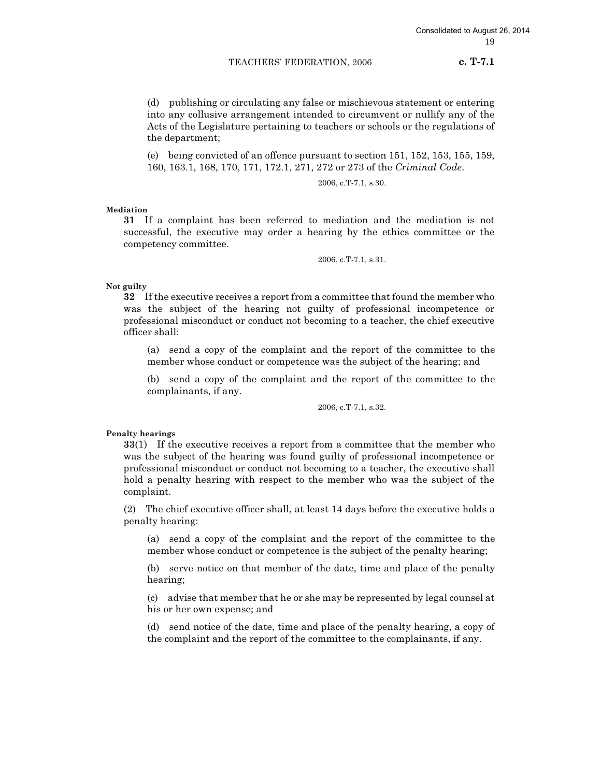c. T-7.1

(d) publishing or circulating any false or mischievous statement or entering into any collusive arrangement intended to circumvent or nullify any of the Acts of the Legislature pertaining to teachers or schools or the regulations of the department;

(e) being convicted of an offence pursuant to section 151, 152, 153, 155, 159, 160, 163.1, 168, 170, 171, 172.1, 271, 272 or 273 of the Criminal Code.

2006, c.T-7.1, s.30.

Mediation

31 If a complaint has been referred to mediation and the mediation is not successful, the executive may order a hearing by the ethics committee or the competency committee.

2006, c.T-7.1, s.31.

Not guilty

32 If the executive receives a report from a committee that found the member who was the subject of the hearing not guilty of professional incompetence or professional misconduct or conduct not becoming to a teacher, the chief executive officer shall:

(a) send a copy of the complaint and the report of the committee to the member whose conduct or competence was the subject of the hearing; and

(b) send a copy of the complaint and the report of the committee to the complainants, if any.

2006, c.T-7.1, s.32.

# Penalty hearings

33(1) If the executive receives a report from a committee that the member who was the subject of the hearing was found guilty of professional incompetence or professional misconduct or conduct not becoming to a teacher, the executive shall hold a penalty hearing with respect to the member who was the subject of the complaint.

(2) The chief executive officer shall, at least 14 days before the executive holds a penalty hearing:

(a) send a copy of the complaint and the report of the committee to the member whose conduct or competence is the subject of the penalty hearing;

(b) serve notice on that member of the date, time and place of the penalty hearing;

(c) advise that member that he or she may be represented by legal counsel at his or her own expense; and

(d) send notice of the date, time and place of the penalty hearing, a copy of the complaint and the report of the committee to the complainants, if any.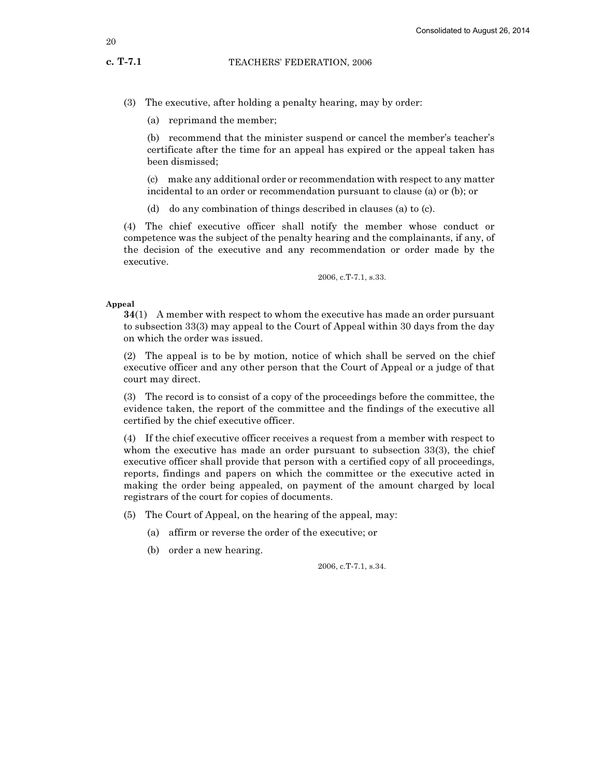(a) reprimand the member;

(b) recommend that the minister suspend or cancel the member's teacher's certificate after the time for an appeal has expired or the appeal taken has been dismissed;

(c) make any additional order or recommendation with respect to any matter incidental to an order or recommendation pursuant to clause (a) or (b); or

(d) do any combination of things described in clauses (a) to (c).

(4) The chief executive officer shall notify the member whose conduct or competence was the subject of the penalty hearing and the complainants, if any, of the decision of the executive and any recommendation or order made by the executive.

2006, c.T-7.1, s.33.

#### Appeal

34(1) A member with respect to whom the executive has made an order pursuant to subsection 33(3) may appeal to the Court of Appeal within 30 days from the day on which the order was issued.

(2) The appeal is to be by motion, notice of which shall be served on the chief executive officer and any other person that the Court of Appeal or a judge of that court may direct.

(3) The record is to consist of a copy of the proceedings before the committee, the evidence taken, the report of the committee and the findings of the executive all certified by the chief executive officer.

(4) If the chief executive officer receives a request from a member with respect to whom the executive has made an order pursuant to subsection 33(3), the chief executive officer shall provide that person with a certified copy of all proceedings, reports, findings and papers on which the committee or the executive acted in making the order being appealed, on payment of the amount charged by local registrars of the court for copies of documents.

(5) The Court of Appeal, on the hearing of the appeal, may:

- (a) affirm or reverse the order of the executive; or
- (b) order a new hearing.

2006, c.T-7.1, s.34.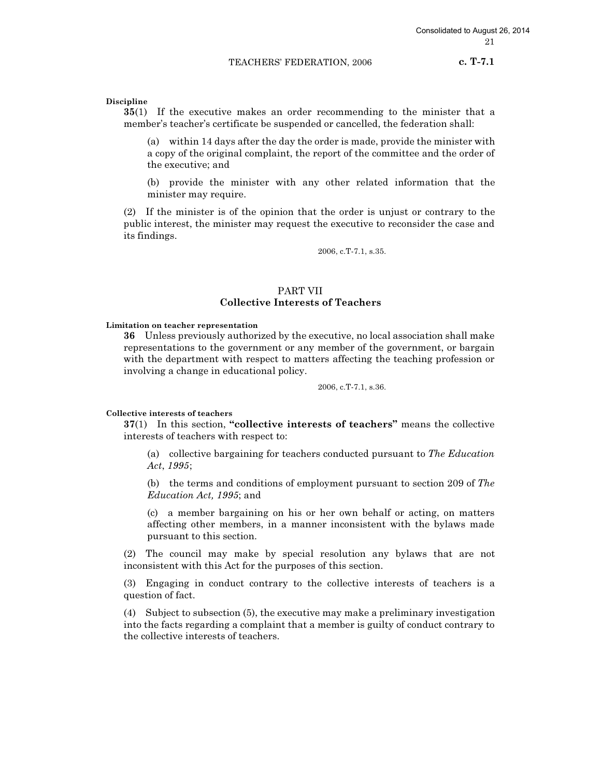c. T-7.1

# Discipline

35(1) If the executive makes an order recommending to the minister that a member's teacher's certificate be suspended or cancelled, the federation shall:

(a) within 14 days after the day the order is made, provide the minister with a copy of the original complaint, the report of the committee and the order of the executive; and

(b) provide the minister with any other related information that the minister may require.

(2) If the minister is of the opinion that the order is unjust or contrary to the public interest, the minister may request the executive to reconsider the case and its findings.

2006, c.T-7.1, s.35.

# PART VII Collective Interests of Teachers

Limitation on teacher representation

36 Unless previously authorized by the executive, no local association shall make representations to the government or any member of the government, or bargain with the department with respect to matters affecting the teaching profession or involving a change in educational policy.

2006, c.T-7.1, s.36.

#### Collective interests of teachers

37(1) In this section, "collective interests of teachers" means the collective interests of teachers with respect to:

(a) collective bargaining for teachers conducted pursuant to The Education Act, 1995;

(b) the terms and conditions of employment pursuant to section 209 of The Education Act, 1995; and

(c) a member bargaining on his or her own behalf or acting, on matters affecting other members, in a manner inconsistent with the bylaws made pursuant to this section.

(2) The council may make by special resolution any bylaws that are not inconsistent with this Act for the purposes of this section.

(3) Engaging in conduct contrary to the collective interests of teachers is a question of fact.

(4) Subject to subsection (5), the executive may make a preliminary investigation into the facts regarding a complaint that a member is guilty of conduct contrary to the collective interests of teachers.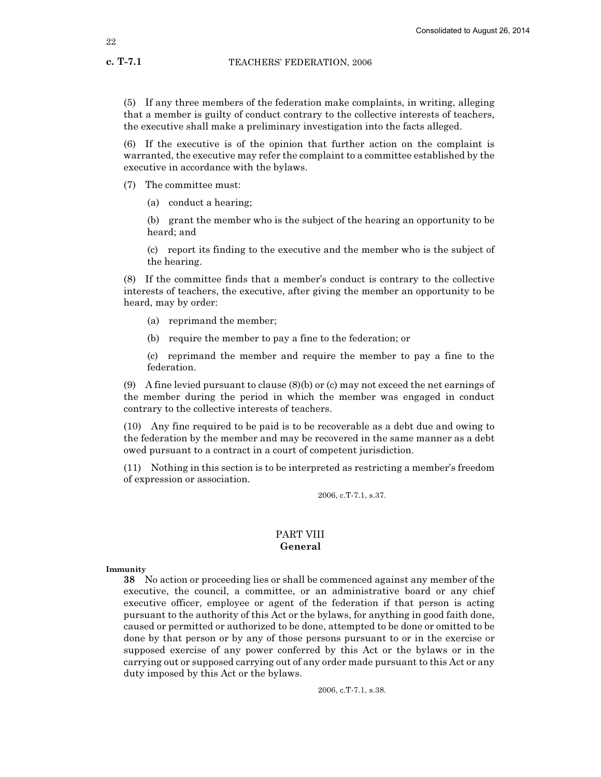(5) If any three members of the federation make complaints, in writing, alleging that a member is guilty of conduct contrary to the collective interests of teachers, the executive shall make a preliminary investigation into the facts alleged.

(6) If the executive is of the opinion that further action on the complaint is warranted, the executive may refer the complaint to a committee established by the executive in accordance with the bylaws.

(7) The committee must:

(a) conduct a hearing;

(b) grant the member who is the subject of the hearing an opportunity to be heard; and

(c) report its finding to the executive and the member who is the subject of the hearing.

(8) If the committee finds that a member's conduct is contrary to the collective interests of teachers, the executive, after giving the member an opportunity to be heard, may by order:

- (a) reprimand the member;
- (b) require the member to pay a fine to the federation; or

(c) reprimand the member and require the member to pay a fine to the federation.

(9) A fine levied pursuant to clause (8)(b) or (c) may not exceed the net earnings of the member during the period in which the member was engaged in conduct contrary to the collective interests of teachers.

(10) Any fine required to be paid is to be recoverable as a debt due and owing to the federation by the member and may be recovered in the same manner as a debt owed pursuant to a contract in a court of competent jurisdiction.

(11) Nothing in this section is to be interpreted as restricting a member's freedom of expression or association.

2006, c.T-7.1, s.37.

# PART VIII General

Immunity

38 No action or proceeding lies or shall be commenced against any member of the executive, the council, a committee, or an administrative board or any chief executive officer, employee or agent of the federation if that person is acting pursuant to the authority of this Act or the bylaws, for anything in good faith done, caused or permitted or authorized to be done, attempted to be done or omitted to be done by that person or by any of those persons pursuant to or in the exercise or supposed exercise of any power conferred by this Act or the bylaws or in the carrying out or supposed carrying out of any order made pursuant to this Act or any duty imposed by this Act or the bylaws.

2006, c.T-7.1, s.38.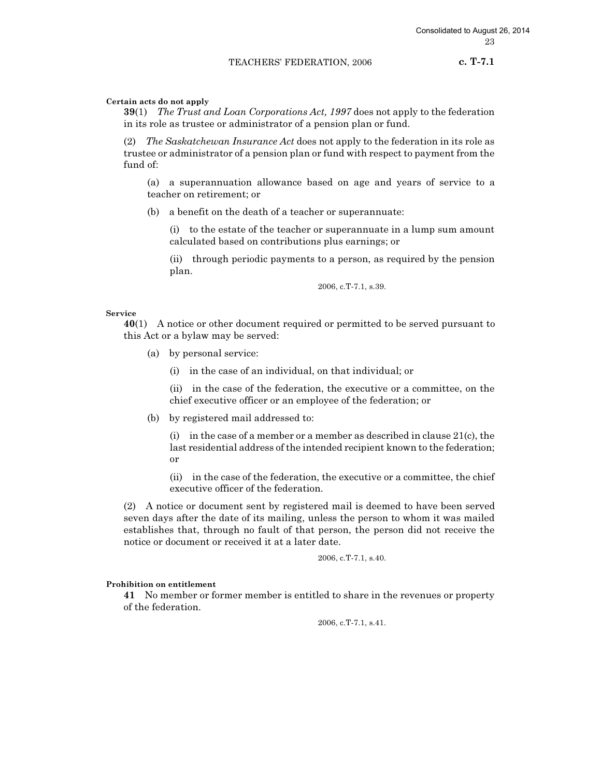c. T-7.1

# Certain acts do not apply

39(1) The Trust and Loan Corporations Act, 1997 does not apply to the federation in its role as trustee or administrator of a pension plan or fund.

(2) The Saskatchewan Insurance Act does not apply to the federation in its role as trustee or administrator of a pension plan or fund with respect to payment from the fund of:

(a) a superannuation allowance based on age and years of service to a teacher on retirement; or

(b) a benefit on the death of a teacher or superannuate:

(i) to the estate of the teacher or superannuate in a lump sum amount calculated based on contributions plus earnings; or

(ii) through periodic payments to a person, as required by the pension plan.

2006, c.T-7.1, s.39.

# Service

40(1) A notice or other document required or permitted to be served pursuant to this Act or a bylaw may be served:

- (a) by personal service:
	- (i) in the case of an individual, on that individual; or

(ii) in the case of the federation, the executive or a committee, on the chief executive officer or an employee of the federation; or

(b) by registered mail addressed to:

(i) in the case of a member or a member as described in clause 21(c), the last residential address of the intended recipient known to the federation; or

(ii) in the case of the federation, the executive or a committee, the chief executive officer of the federation.

(2) A notice or document sent by registered mail is deemed to have been served seven days after the date of its mailing, unless the person to whom it was mailed establishes that, through no fault of that person, the person did not receive the notice or document or received it at a later date.

2006, c.T-7.1, s.40.

# Prohibition on entitlement

41 No member or former member is entitled to share in the revenues or property of the federation.

2006, c.T-7.1, s.41.